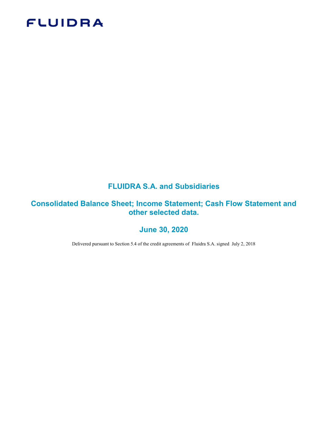# **FLUIDRA**

# FLUIDRA S.A. and Subsidiaries

# Consolidated Balance Sheet; Income Statement; Cash Flow Statement and other selected data.

## June 30, 2020

Delivered pursuant to Section 5.4 of the credit agreements of Fluidra S.A. signed July 2, 2018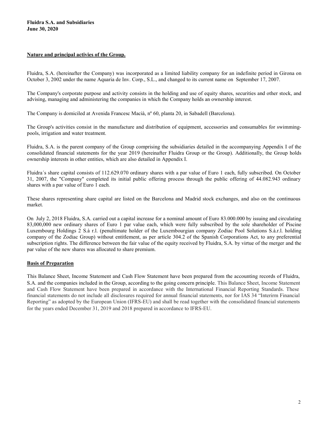#### Nature and principal activies of the Group.

Fluidra, S.A. (hereinafter the Company) was incorporated as a limited liability company for an indefinite period in Girona on October 3, 2002 under the name Aquaria de Inv. Corp., S.L., and changed to its current name on September 17, 2007.

The Company's corporate purpose and activity consists in the holding and use of equity shares, securities and other stock, and advising, managing and administering the companies in which the Company holds an ownership interest.

The Company is domiciled at Avenida Francesc Macià, nº 60, planta 20, in Sabadell (Barcelona).

The Group's activities consist in the manufacture and distribution of equipment, accessories and consumables for swimmingpools, irrigation and water treatment.

Fluidra, S.A. is the parent company of the Group comprising the subsidiaries detailed in the accompanying Appendix I of the consolidated financial statements for the year 2019 (hereinafter Fluidra Group or the Group). Additionally, the Group holds ownership interests in other entities, which are also detailed in Appendix I.

Fluidra´s share capital consists of 112.629.070 ordinary shares with a par value of Euro 1 each, fully subscribed. On October 31, 2007, the "Company" completed its initial public offering process through the public offering of 44.082.943 ordinary shares with a par value of Euro 1 each.

These shares representing share capital are listed on the Barcelona and Madrid stock exchanges, and also on the continuous market.

On July 2, 2018 Fluidra, S.A. carried out a capital increase for a nominal amount of Euro 83.000.000 by issuing and circulating 83,000,000 new ordinary shares of Euro 1 par value each, which were fully subscribed by the sole shareholder of Piscine Luxembourg Holdings 2 S.à r.l. (penultimate holder of the Luxembourgian company Zodiac Pool Solutions S.à.r.l. holding company of the Zodiac Group) without entitlement, as per article 304.2 of the Spanish Corporations Act, to any preferential subscription rights. The difference between the fair value of the equity received by Fluidra, S.A. by virtue of the merger and the par value of the new shares was allocated to share premium.

#### Basis of Preparation

This Balance Sheet, Income Statement and Cash Flow Statement have been prepared from the accounting records of Fluidra, S.A. and the companies included in the Group, according to the going concern principle. This Balance Sheet, Income Statement and Cash Flow Statement have been prepared in accordance with the International Financial Reporting Standards. These financial statements do not include all disclosures required for annual financial statements, nor for IAS 34 "Interirm Financial Reporting" as adopted by the European Union (IFRS-EU) and shall be read together with the consolidated financial statements for the years ended December 31, 2019 and 2018 prepared in accordance to IFRS-EU.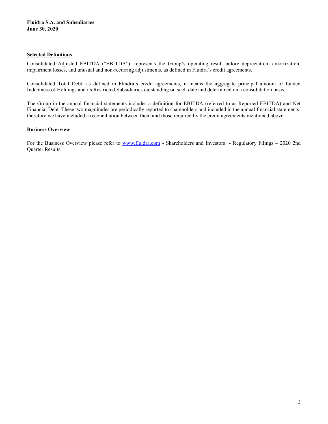#### Selected Definitions

Consolidated Adjusted EBITDA ("EBITDA"): represents the Group's operating result before depreciation, amortization, impairment losses, and unusual and non-recurring adjustments, as defined in Fluidra's credit agreements.

Consolidated Total Debt: as defined in Fluidra´s credit agreements, it means the aggregate principal amount of funded Indebtness of Holdings and its Restricted Subsidiaries outstanding on such date and determined on a consolidation basis.

The Group in the annual financial statements includes a definition for EBITDA (referred to as Reported EBITDA) and Net Financial Debt. These two magnitudes are periodically reported to shareholders and included in the annual financial statements, therefore we have included a reconciliation between them and those required by the credit agreements mentioned above.

#### **Business Overview**

For the Business Overview please refer to www.fluidra.com - Shareholders and Investors - Regulatory Filings – 2020 2nd Quarter Results.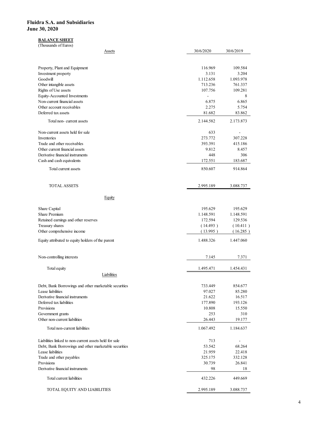### **BALANCE SHEET**

| idra S.A. and Subsidiaries                                                                                      |                      |                          |
|-----------------------------------------------------------------------------------------------------------------|----------------------|--------------------------|
|                                                                                                                 |                      |                          |
|                                                                                                                 |                      |                          |
|                                                                                                                 |                      |                          |
|                                                                                                                 |                      |                          |
| e 30, 2020                                                                                                      |                      |                          |
| <b>BALANCE SHEET</b>                                                                                            |                      |                          |
| (Thousands of Euros)                                                                                            |                      |                          |
| <b>Assets</b>                                                                                                   | 30/6/2020            | 30/6/2019                |
| Property, Plant and Equipment                                                                                   | 116.969              | 109.584                  |
| Investment property                                                                                             | 3.131                | 3.204                    |
| Goodwill<br>Other intangible assets                                                                             | 1.112.658<br>713.236 | 1.093.978<br>761.337     |
| Rights of Use assets                                                                                            | 107.756              | 109.281                  |
| Equity-Accounted Investments                                                                                    | $\sim$               | 8                        |
| Non-current financial assets<br>Other account receivables                                                       | 6.875<br>2.275       | 6.865<br>5.754           |
| Deferred tax assets                                                                                             | 81.682               | 83.862                   |
| Total non-current assets                                                                                        | 2.144.582            | 2.173.873                |
| Non-current assets held for sale                                                                                | 633                  | $\sim$                   |
| Inventories<br>Trade and other receivables                                                                      | 273.772<br>393.391   | 307.228<br>415.186       |
| Other current financial assets                                                                                  | 9.812                | 8.457                    |
| Derivative financial instruments                                                                                | 448                  | 306                      |
| Cash and cash equivalents                                                                                       | 172.551              | 183.687                  |
| Total current assets                                                                                            | 850.607              | 914.864                  |
| <b>TOTAL ASSETS</b>                                                                                             | 2.995.189            | 3.088.737                |
| Equity                                                                                                          |                      |                          |
| Share Capital                                                                                                   | 195.629              | 195.629                  |
| Share Premium                                                                                                   | 1.148.591            | 1.148.591                |
| Retained earnings and other reserves                                                                            | 172.594              | 129.536                  |
| Treasury shares<br>Other comprehensive income                                                                   | (14.493)<br>(13.995) | (10.411)<br>(16.285)     |
| Equity attributed to equity holders of the parent                                                               | 1.488.326            | 1.447.060                |
|                                                                                                                 |                      |                          |
| Non-controlling interests                                                                                       | 7.145                | 7.371                    |
| Total equity                                                                                                    | 1.495.471            | 1.454.431                |
| Liabilities                                                                                                     |                      |                          |
| Debt, Bank Borrowings and other marketable securities<br>Lease liabilities                                      | 733.449<br>97.027    | 854.677<br>85.280        |
| Derivative financial instruments                                                                                | 21.622               | 16.517                   |
| Deferred tax liabilities<br>Provisions                                                                          | 177.890<br>10.808    | 193.126<br>15.550        |
| Government grants                                                                                               | 253                  | 310                      |
| Other non-current liabilities                                                                                   | 26.443               | 19.177                   |
| Total non-current liabilities                                                                                   | 1.067.492            | 1.184.637                |
| Liabilities linked to non-current assets held for sale<br>Debt, Bank Borrowings and other marketable securities | 713<br>53.542        | $\blacksquare$<br>68.264 |
| Lease liabilities                                                                                               | 21.959               | 22.418                   |
| Trade and other payables                                                                                        | 325.175              | 332.128                  |
| Provisions<br>Derivative financial instruments                                                                  | 30.739<br>98         | 26.841<br>18             |
| Total current liabilities                                                                                       | 432.226              | 449.669                  |
| TOTAL EQUITY AND LIABILITIES                                                                                    | 2.995.189            | 3.088.737                |
|                                                                                                                 |                      |                          |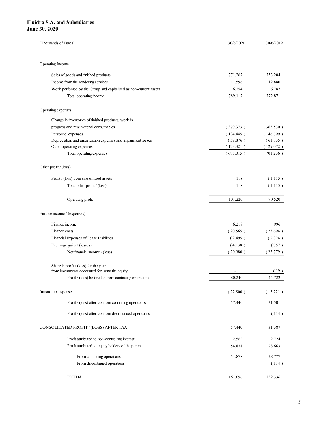| idra S.A. and Subsidiaries                                                 |                          |                        |
|----------------------------------------------------------------------------|--------------------------|------------------------|
|                                                                            |                          |                        |
|                                                                            |                          |                        |
|                                                                            |                          |                        |
|                                                                            |                          |                        |
|                                                                            |                          |                        |
|                                                                            |                          |                        |
|                                                                            |                          |                        |
|                                                                            |                          |                        |
|                                                                            |                          |                        |
| e 30, 2020                                                                 |                          |                        |
|                                                                            |                          |                        |
| (Thousands of Euros)                                                       | 30/6/2020                | 30/6/2019              |
|                                                                            |                          |                        |
|                                                                            |                          |                        |
| Operating Income                                                           |                          |                        |
| Sales of goods and finished products                                       | 771.267                  | 753.204                |
| Income from the rendering services                                         | 11.596                   | 12.880                 |
| Work perfomed by the Group and capitalised as non-current assets           | 6.254                    | 6.787                  |
| Total operating income                                                     | 789.117                  | 772.871                |
| Operating expenses                                                         |                          |                        |
|                                                                            |                          |                        |
| Change in inventories of finished products, work in                        | (370.373)                |                        |
| progress and raw material consumables<br>Personnel expenses                | (134.445)                | (363.530)<br>(146.799) |
| Depreciation and amortization expenses and impairment losses               | (59.876)                 | (61.835)               |
| Other operating expenses                                                   | (123.321)                | (129.072)              |
| Total operating expenses                                                   | (688.015)                | (701.236)              |
|                                                                            |                          |                        |
| Other profit / (loss)                                                      |                          |                        |
| Profit / (loss) from sale of fixed assets                                  | 118                      | (1.115)                |
| Total other profit / (loss)                                                | 118                      | (1.115)                |
|                                                                            |                          |                        |
| Operating profit                                                           | 101.220                  | 70.520                 |
| Finance income / (expenses)                                                |                          |                        |
|                                                                            |                          |                        |
| Finance income                                                             | 6.218                    | 996                    |
| Finance costs                                                              | (20.565)                 | (23.694)               |
| Financial Expenses of Lease Liabilities                                    | (2.495)                  | (2.324)                |
| Exchange gains / (losses)<br>Net financial income / (loss)                 | (4.138)<br>(20.980)      | (757)<br>(25.779)      |
|                                                                            |                          |                        |
| Share in profit / (loss) for the year                                      |                          |                        |
| from investments accounted for using the equity                            | $\sim$                   | (19)                   |
| Profit / (loss) before tax from continuing operations                      | 80.240                   | 44.722                 |
| Income tax expense                                                         | (22.800)                 | (13.221)               |
|                                                                            |                          |                        |
| $\mathrm{Profit}\,/\,(\mathrm{loss})$ after tax from continuing operations | 57.440                   | 31.501                 |
| Profit / (loss) after tax from discontinued operations                     | $\sim$                   | (114)                  |
|                                                                            |                          |                        |
| CONSOLIDATED PROFIT / (LOSS) AFTER TAX                                     | 57.440                   | 31.387                 |
| Profit attributed to non-controlling interest                              | 2.562                    | 2.724                  |
| Profit attributed to equity holders of the parent                          | 54.878                   | 28.663                 |
| From continuing operations                                                 | 54.878                   | 28.777                 |
| From discontinued operations                                               | $\overline{\phantom{a}}$ | (114)                  |
|                                                                            |                          |                        |
| <b>EBITDA</b>                                                              | 161.096                  | 132.336                |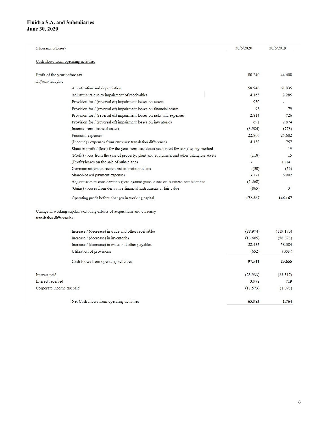| (Thousands of Euros)                 |                                                                                            | 30/6/2020      | 30/6/2019 |
|--------------------------------------|--------------------------------------------------------------------------------------------|----------------|-----------|
| Cash flows from operating activities |                                                                                            |                |           |
| Profit of the year before tax        |                                                                                            | 80.240         | 44.608    |
| Adjustments for:                     |                                                                                            |                |           |
|                                      | Amortization and depreciation                                                              | 58.946         | 61.835    |
|                                      | Adjustments due to impairment of receivables                                               | 4.163          | 2.285     |
|                                      | Provision for / (reversal of) impairment losses on assets                                  | 930            |           |
|                                      | Provision for / (reversal of) impairment losses on financial assets                        | 93             | 79        |
|                                      | Provision for / (reversal of) impairment losses on risks and expenses                      | 2.814          | 726       |
|                                      | Provision for / (reversal of) impairment losses on inventories                             | 691            | 2.874     |
|                                      | Income from financial assets                                                               | (3.984)        | (778)     |
|                                      | Financial expenses                                                                         | 22.866         | 25.682    |
|                                      | (Income) / expenses from currency translation differences                                  | 4.138          | 757       |
|                                      | Share in profit / (loss) for the year from associates accounted for using equity method    | $\overline{a}$ | 19        |
|                                      | (Profit) / loss from the sale of property, plant and equipment and other intangible assets | (118)          | 15        |
|                                      | (Profit)/losses on the sale of subsidiaries                                                |                | 1.214     |
|                                      | Government grants recognized in profit and loss                                            | (50)           | (56)      |
|                                      | Shared-based payment expenses                                                              | 3.771          | 6.902     |
|                                      | Adjustments to consideration given against gains/losses on business combinations           | (1.268)        |           |
|                                      | (Gains) / losses from derivative financial instruments at fair value                       | (865)          | 5         |
|                                      | Operating profit before changes in working capital                                         | 172.367        | 146.167   |
|                                      | Change in working capital, excluding effects of acquisitions and currency                  |                |           |
| translation differencies             |                                                                                            |                |           |
|                                      | Increase / (decrease) in trade and other receivables                                       | (88.974)       | (119.170) |
|                                      | Increase / (decrease) in inventories                                                       | (13.665)       | (58.873)  |
|                                      | Increase / (decrease) in trade and other payables                                          | 28.435         | 58.084    |
|                                      | Utilization of provisions                                                                  | (652)          | (553)     |
|                                      | Cash Flows from operating activities                                                       | 97.511         | 25.655    |
| Interest paid                        |                                                                                            | (23.933)       | (23.517)  |
| Interest received                    |                                                                                            | 3.978          | 719       |
| Corporate income tax paid            |                                                                                            | (11.573)       | (1.093)   |
|                                      | Net Cash Flows from operating activities                                                   | 65,983         | 1.764     |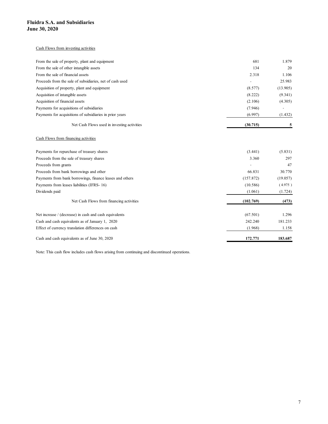#### Cash Flows from investing activities

| idra S.A. and Subsidiaries                               |           |                |
|----------------------------------------------------------|-----------|----------------|
| e 30, 2020                                               |           |                |
|                                                          |           |                |
| Cash Flows from investing activities                     |           |                |
|                                                          |           |                |
| From the sale of property, plant and equipment           | 681       | 1.879          |
| From the sale of other intangible assets                 | 134       | 20             |
| From the sale of financial assets                        | 2.318     | 1.106          |
| Proceeds from the sale of subsidiaries, net of cash used | $\sim$    | 25.983         |
| Acquisition of property, plant and equipment             | (8.577)   | (13.905)       |
| Acquisition of intangible assets                         | (8.222)   | (9.341)        |
| Acquisition of financial assets                          | (2.106)   | (4.305)        |
| Payments for acquisitions of subsidiaries                | (7.946)   | $\blacksquare$ |
| Payments for acquisitions of subsidiaries in prior years | (6.997)   | (1.432)        |
| Net Cash Flows used in investing activities              | (30.715)  | -5             |
| Cash Flows from financing activities                     |           |                |
| Payments for repurchase of treasury shares               | (3.441)   | (5.831)        |
| Proceeds from the sale of treasury shares                | 3.360     | 297            |
| Proceeds from grants                                     | $\sim$    | $47\,$         |
| Proceeds from bank borrowings and other                  | 66.831    | 30.770         |
| Payments from bank borrowings, finance leases and others | (157.872) | (19.057)       |
| Payments from leases liabilities (IFRS-16)               | (10.586)  | (4.975)        |
| Dividends paid                                           | (1.061)   | (1.724)        |
| Net Cash Flows from financing activities                 | (102.769) | (473)          |
|                                                          |           |                |

### Cash Flows from financing activities

| 681       | 1.879    |
|-----------|----------|
| 134       | 20       |
| 2.318     | 1.106    |
| $\omega$  | 25.983   |
| (8.577)   | (13.905) |
| (8.222)   | (9.341)  |
| (2.106)   | (4.305)  |
| (7.946)   | $\sim$   |
| (6.997)   | (1.432)  |
| (30.715)  | 5        |
|           |          |
| (3.441)   | (5.831)  |
| 3.360     | 297      |
|           | 47       |
| 66.831    | 30.770   |
| (157.872) | (19.057) |
| (10.586)  | (4.975)  |
| (1.061)   | (1.724)  |
| (102.769) | (473)    |
| (67.501)  | 1.296    |
| 242.240   | 181.233  |
| (1.968)   | 1.158    |
|           |          |
|           |          |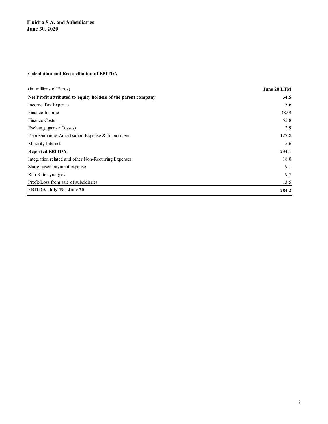### Calculation and Reconciliation of EBITDA

| <b>Fluidra S.A. and Subsidiaries</b>                          |             |
|---------------------------------------------------------------|-------------|
| <b>June 30, 2020</b>                                          |             |
|                                                               |             |
|                                                               |             |
|                                                               |             |
|                                                               |             |
| <b>Calculation and Reconciliation of EBITDA</b>               |             |
| (in millions of Euros)                                        | June 20 LTM |
| Net Profit attributed to equity holders of the parent company | 34,5        |
| Income Tax Expense                                            | 15,6        |
| Finance Income                                                | (8,0)       |
| Finance Costs                                                 | 55,8        |
| Exchange gains / (losses)                                     | 2,9         |
| Depreciation & Amortisation Expense & Impairment              | 127,8       |
| Minority Interest                                             | 5,6         |
| <b>Reported EBITDA</b>                                        | 234,1       |
| Integration related and other Non-Recurring Expenses          | 18,0        |
| Share based payment expense                                   | 9,1         |
| Run Rate synergies                                            | 9,7         |
| Profit/Loss from sale of subsidiaries                         | 13,5        |
|                                                               |             |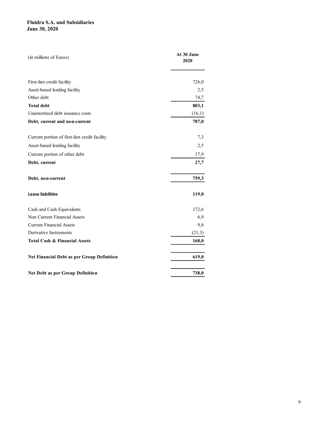| <b>Fluidra S.A. and Subsidiaries</b>                      |                    |
|-----------------------------------------------------------|--------------------|
|                                                           |                    |
|                                                           |                    |
|                                                           |                    |
|                                                           |                    |
| <b>June 30, 2020</b>                                      |                    |
|                                                           |                    |
|                                                           |                    |
| (in millions of Euros)                                    | At 30 June<br>2020 |
|                                                           |                    |
|                                                           |                    |
| First-lien credit facility                                | 726,0              |
| Asset-based lending facility                              | 2,5                |
| Other debt                                                | 74,7               |
| <b>Total debt</b>                                         | 803,1              |
| Unamortized debt issuance costs                           | (16,1)             |
| Debt, current and non-current                             | 787,0              |
| Current portion of first-lien credit facility             | 7,3                |
| Asset-based lending facility                              | 2,5                |
| Current portion of other debt                             | 17,9               |
| Debt, current                                             | 27,7               |
|                                                           |                    |
| Debt, non-current                                         | 759,3              |
|                                                           |                    |
| <b>Lease liabilities</b>                                  | 119,0              |
|                                                           |                    |
| Cash and Cash Equivalents<br>Non Current Financial Assets | 172,6<br>6,9       |
| <b>Current Financial Assets</b>                           | 9,8                |
| Derivative Instruments                                    | (21,3)             |
| <b>Total Cash &amp; Financial Assets</b>                  | 168,0              |
|                                                           |                    |
| Net Financial Debt as per Group Definition                | 619,0              |
|                                                           |                    |
| Net Debt as per Group Definition                          | 738,0              |